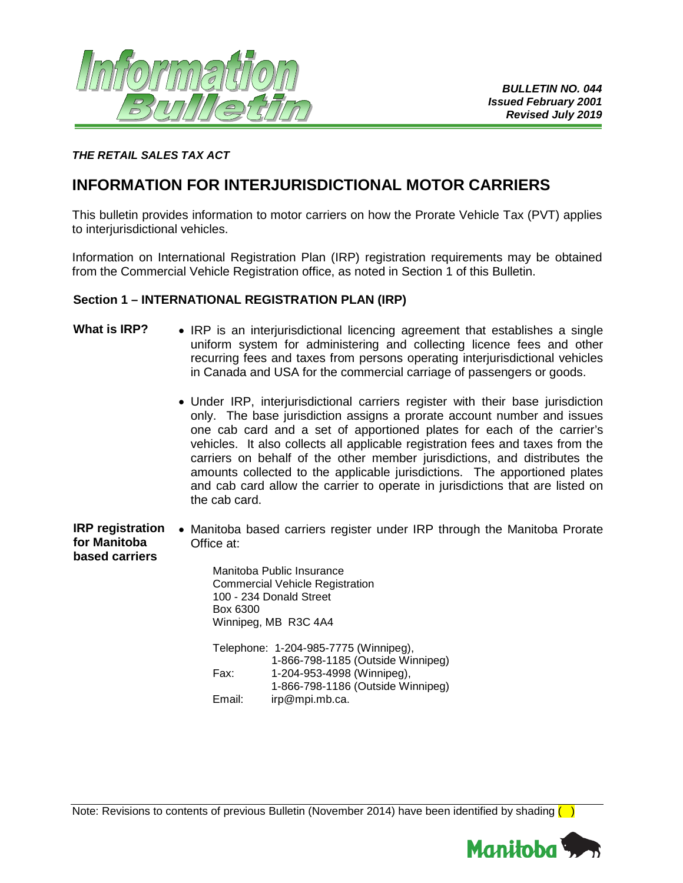

#### *THE RETAIL SALES TAX ACT*

# **INFORMATION FOR INTERJURISDICTIONAL MOTOR CARRIERS**

This bulletin provides information to motor carriers on how the Prorate Vehicle Tax (PVT) applies to interjurisdictional vehicles.

Information on International Registration Plan (IRP) registration requirements may be obtained from the Commercial Vehicle Registration office, as noted in Section 1 of this Bulletin.

#### **Section 1 – INTERNATIONAL REGISTRATION PLAN (IRP)**

- What is IRP? IRP is an interjurisdictional licencing agreement that establishes a single uniform system for administering and collecting licence fees and other recurring fees and taxes from persons operating interjurisdictional vehicles in Canada and USA for the commercial carriage of passengers or goods.
	- Under IRP, interjurisdictional carriers register with their base jurisdiction only. The base jurisdiction assigns a prorate account number and issues one cab card and a set of apportioned plates for each of the carrier's vehicles. It also collects all applicable registration fees and taxes from the carriers on behalf of the other member jurisdictions, and distributes the amounts collected to the applicable jurisdictions. The apportioned plates and cab card allow the carrier to operate in jurisdictions that are listed on the cab card.
- **IRP registration for Manitoba based carriers** • Manitoba based carriers register under IRP through the Manitoba Prorate Office at:

Manitoba Public Insurance Commercial Vehicle Registration 100 - 234 Donald Street Box 6300 Winnipeg, MB R3C 4A4

Telephone: 1-204-985-7775 (Winnipeg), 1-866-798-1185 (Outside Winnipeg) Fax: 1-204-953-4998 (Winnipeg), 1-866-798-1186 (Outside Winnipeg) Email: irp@mpi.mb.ca.

Note: Revisions to contents of previous Bulletin (November 2014) have been identified by shading  $\Box$ 

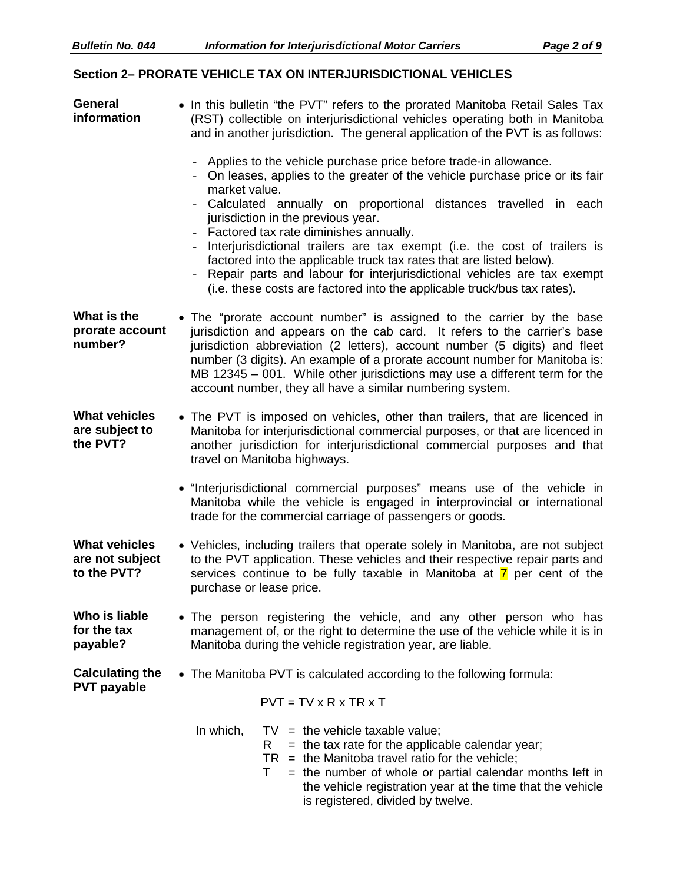## **Section 2– PRORATE VEHICLE TAX ON INTERJURISDICTIONAL VEHICLES**

| <b>General</b><br>information                          | • In this bulletin "the PVT" refers to the prorated Manitoba Retail Sales Tax<br>(RST) collectible on interjurisdictional vehicles operating both in Manitoba<br>and in another jurisdiction. The general application of the PVT is as follows:                                                                                                                                                                                                             |
|--------------------------------------------------------|-------------------------------------------------------------------------------------------------------------------------------------------------------------------------------------------------------------------------------------------------------------------------------------------------------------------------------------------------------------------------------------------------------------------------------------------------------------|
|                                                        | Applies to the vehicle purchase price before trade-in allowance.<br>On leases, applies to the greater of the vehicle purchase price or its fair<br>market value.                                                                                                                                                                                                                                                                                            |
|                                                        | Calculated annually on proportional distances travelled in each<br>jurisdiction in the previous year.<br>Factored tax rate diminishes annually.<br>Interjurisdictional trailers are tax exempt (i.e. the cost of trailers is<br>factored into the applicable truck tax rates that are listed below).<br>Repair parts and labour for interjurisdictional vehicles are tax exempt<br>(i.e. these costs are factored into the applicable truck/bus tax rates). |
| What is the<br>prorate account<br>number?              | . The "prorate account number" is assigned to the carrier by the base<br>jurisdiction and appears on the cab card. It refers to the carrier's base<br>jurisdiction abbreviation (2 letters), account number (5 digits) and fleet<br>number (3 digits). An example of a prorate account number for Manitoba is:<br>MB 12345 - 001. While other jurisdictions may use a different term for the<br>account number, they all have a similar numbering system.   |
| <b>What vehicles</b><br>are subject to<br>the PVT?     | • The PVT is imposed on vehicles, other than trailers, that are licenced in<br>Manitoba for interjurisdictional commercial purposes, or that are licenced in<br>another jurisdiction for interjurisdictional commercial purposes and that<br>travel on Manitoba highways.                                                                                                                                                                                   |
|                                                        | · "Interjurisdictional commercial purposes" means use of the vehicle in<br>Manitoba while the vehicle is engaged in interprovincial or international<br>trade for the commercial carriage of passengers or goods.                                                                                                                                                                                                                                           |
| <b>What vehicles</b><br>are not subject<br>to the PVT? | • Vehicles, including trailers that operate solely in Manitoba, are not subject<br>to the PVT application. These vehicles and their respective repair parts and<br>services continue to be fully taxable in Manitoba at $\overline{7}$ per cent of the<br>purchase or lease price.                                                                                                                                                                          |
| Who is liable<br>for the tax<br>payable?               | • The person registering the vehicle, and any other person who has<br>management of, or the right to determine the use of the vehicle while it is in<br>Manitoba during the vehicle registration year, are liable.                                                                                                                                                                                                                                          |
| <b>Calculating the</b>                                 | • The Manitoba PVT is calculated according to the following formula:                                                                                                                                                                                                                                                                                                                                                                                        |
| <b>PVT payable</b>                                     | $PVT = TV \times R \times TR \times T$                                                                                                                                                                                                                                                                                                                                                                                                                      |
|                                                        | In which,<br>$TV =$ the vehicle taxable value;<br>$=$ the tax rate for the applicable calendar year;<br>R.<br>$TR =$ the Manitoba travel ratio for the vehicle;<br>= the number of whole or partial calendar months left in<br>Τ<br>the vehicle registration year at the time that the vehicle<br>is registered, divided by twelve.                                                                                                                         |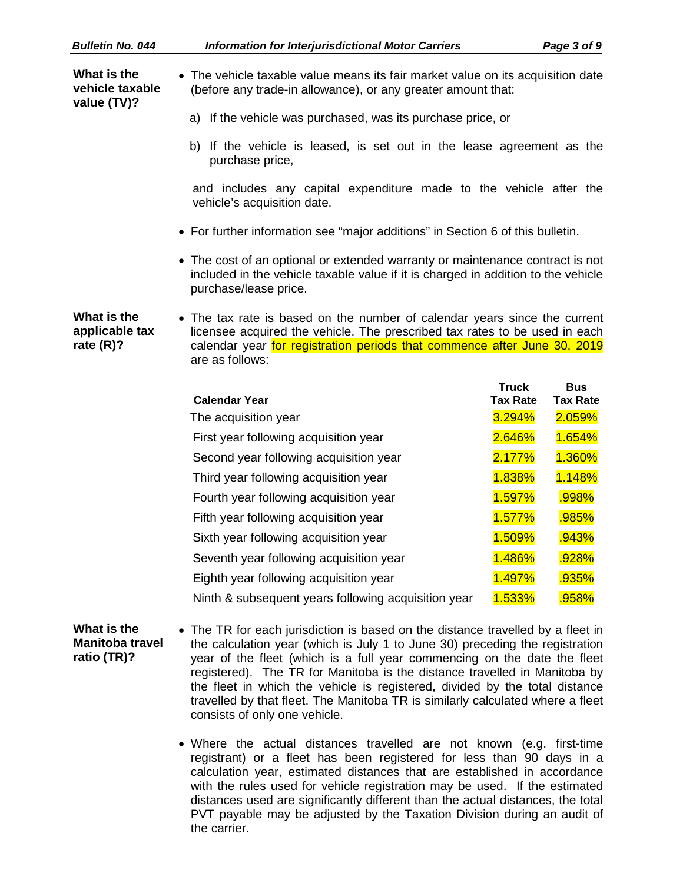| <b>Bulletin No. 044</b>                              | <b>Information for Interjurisdictional Motor Carriers</b>                                                                                                                                                                                                                                                                                                                                                                                                                                                                |                 | Page 3 of 9     |
|------------------------------------------------------|--------------------------------------------------------------------------------------------------------------------------------------------------------------------------------------------------------------------------------------------------------------------------------------------------------------------------------------------------------------------------------------------------------------------------------------------------------------------------------------------------------------------------|-----------------|-----------------|
| What is the<br>vehicle taxable<br>value (TV)?        | • The vehicle taxable value means its fair market value on its acquisition date<br>(before any trade-in allowance), or any greater amount that:                                                                                                                                                                                                                                                                                                                                                                          |                 |                 |
|                                                      | a) If the vehicle was purchased, was its purchase price, or                                                                                                                                                                                                                                                                                                                                                                                                                                                              |                 |                 |
|                                                      | b) If the vehicle is leased, is set out in the lease agreement as the<br>purchase price,                                                                                                                                                                                                                                                                                                                                                                                                                                 |                 |                 |
|                                                      | and includes any capital expenditure made to the vehicle after the<br>vehicle's acquisition date.                                                                                                                                                                                                                                                                                                                                                                                                                        |                 |                 |
|                                                      | • For further information see "major additions" in Section 6 of this bulletin.                                                                                                                                                                                                                                                                                                                                                                                                                                           |                 |                 |
|                                                      | • The cost of an optional or extended warranty or maintenance contract is not<br>included in the vehicle taxable value if it is charged in addition to the vehicle<br>purchase/lease price.                                                                                                                                                                                                                                                                                                                              |                 |                 |
| What is the<br>applicable tax<br>rate $(R)?$         | • The tax rate is based on the number of calendar years since the current<br>licensee acquired the vehicle. The prescribed tax rates to be used in each<br>calendar year for registration periods that commence after June 30, 2019<br>are as follows:                                                                                                                                                                                                                                                                   |                 |                 |
|                                                      |                                                                                                                                                                                                                                                                                                                                                                                                                                                                                                                          | <b>Truck</b>    | <b>Bus</b>      |
|                                                      | <b>Calendar Year</b>                                                                                                                                                                                                                                                                                                                                                                                                                                                                                                     | <b>Tax Rate</b> | <b>Tax Rate</b> |
|                                                      | The acquisition year                                                                                                                                                                                                                                                                                                                                                                                                                                                                                                     | 3.294%          | 2.059%          |
|                                                      | First year following acquisition year                                                                                                                                                                                                                                                                                                                                                                                                                                                                                    | 2.646%          | 1.654%          |
|                                                      | Second year following acquisition year                                                                                                                                                                                                                                                                                                                                                                                                                                                                                   | 2.177%          | 1.360%          |
|                                                      | Third year following acquisition year                                                                                                                                                                                                                                                                                                                                                                                                                                                                                    | 1.838%          | 1.148%          |
|                                                      | Fourth year following acquisition year                                                                                                                                                                                                                                                                                                                                                                                                                                                                                   | 1.597%          | .998%           |
|                                                      | Fifth year following acquisition year                                                                                                                                                                                                                                                                                                                                                                                                                                                                                    | 1.577%          | .985%           |
|                                                      | Sixth year following acquisition year                                                                                                                                                                                                                                                                                                                                                                                                                                                                                    | 1.509%          | .943%           |
|                                                      | Seventh year following acquisition year                                                                                                                                                                                                                                                                                                                                                                                                                                                                                  | 1.486%          | .928%           |
|                                                      | Eighth year following acquisition year                                                                                                                                                                                                                                                                                                                                                                                                                                                                                   | 1.497%          | .935%           |
|                                                      | Ninth & subsequent years following acquisition year                                                                                                                                                                                                                                                                                                                                                                                                                                                                      | 1.533%          | .958%           |
| What is the<br><b>Manitoba travel</b><br>ratio (TR)? | The TR for each jurisdiction is based on the distance travelled by a fleet in<br>the calculation year (which is July 1 to June 30) preceding the registration<br>year of the fleet (which is a full year commencing on the date the fleet<br>registered). The TR for Manitoba is the distance travelled in Manitoba by<br>the fleet in which the vehicle is registered, divided by the total distance<br>travelled by that fleet. The Manitoba TR is similarly calculated where a fleet<br>consists of only one vehicle. |                 |                 |

• Where the actual distances travelled are not known (e.g. first-time registrant) or a fleet has been registered for less than 90 days in a calculation year, estimated distances that are established in accordance with the rules used for vehicle registration may be used. If the estimated distances used are significantly different than the actual distances, the total PVT payable may be adjusted by the Taxation Division during an audit of the carrier.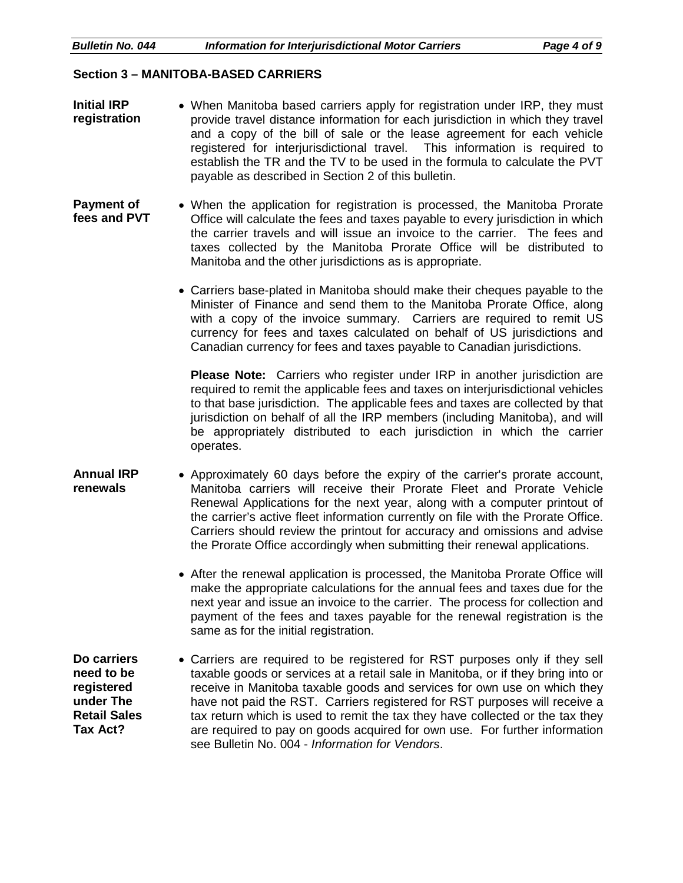#### **Section 3 – MANITOBA-BASED CARRIERS**

- **Initial IRP registration** • When Manitoba based carriers apply for registration under IRP, they must provide travel distance information for each jurisdiction in which they travel and a copy of the bill of sale or the lease agreement for each vehicle registered for interjurisdictional travel. This information is required to establish the TR and the TV to be used in the formula to calculate the PVT payable as described in Section 2 of this bulletin.
- **Payment of fees and PVT** • When the application for registration is processed, the Manitoba Prorate Office will calculate the fees and taxes payable to every jurisdiction in which the carrier travels and will issue an invoice to the carrier. The fees and taxes collected by the Manitoba Prorate Office will be distributed to Manitoba and the other jurisdictions as is appropriate.
	- Carriers base-plated in Manitoba should make their cheques payable to the Minister of Finance and send them to the Manitoba Prorate Office, along with a copy of the invoice summary. Carriers are required to remit US currency for fees and taxes calculated on behalf of US jurisdictions and Canadian currency for fees and taxes payable to Canadian jurisdictions.

**Please Note:** Carriers who register under IRP in another jurisdiction are required to remit the applicable fees and taxes on interjurisdictional vehicles to that base jurisdiction. The applicable fees and taxes are collected by that jurisdiction on behalf of all the IRP members (including Manitoba), and will be appropriately distributed to each jurisdiction in which the carrier operates.

- **Annual IRP renewals** • Approximately 60 days before the expiry of the carrier's prorate account, Manitoba carriers will receive their Prorate Fleet and Prorate Vehicle Renewal Applications for the next year, along with a computer printout of the carrier's active fleet information currently on file with the Prorate Office. Carriers should review the printout for accuracy and omissions and advise the Prorate Office accordingly when submitting their renewal applications.
	- After the renewal application is processed, the Manitoba Prorate Office will make the appropriate calculations for the annual fees and taxes due for the next year and issue an invoice to the carrier. The process for collection and payment of the fees and taxes payable for the renewal registration is the same as for the initial registration.

**Do carriers need to be registered under The Retail Sales Tax Act?** • Carriers are required to be registered for RST purposes only if they sell taxable goods or services at a retail sale in Manitoba, or if they bring into or receive in Manitoba taxable goods and services for own use on which they have not paid the RST. Carriers registered for RST purposes will receive a tax return which is used to remit the tax they have collected or the tax they are required to pay on goods acquired for own use. For further information see Bulletin No. 004 - *Information for Vendors*.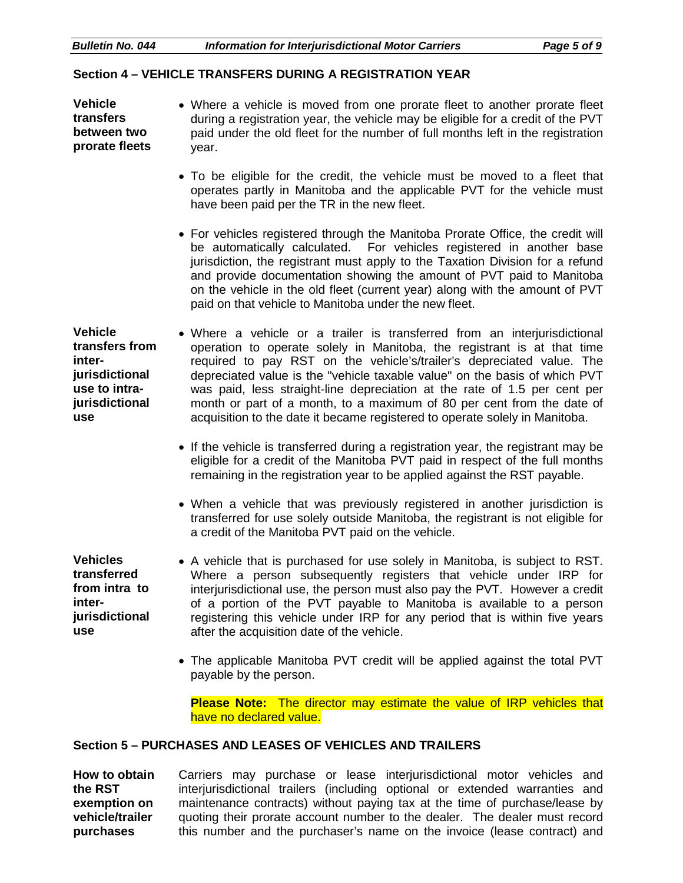| <b>Bulletin No. 044</b> | Information for Interjurisdictional Motor Carriers | Page 5 of 9 |
|-------------------------|----------------------------------------------------|-------------|
|                         |                                                    |             |

### **Section 4 – VEHICLE TRANSFERS DURING A REGISTRATION YEAR**

**Vehicle transfers between two prorate fleets**  • Where a vehicle is moved from one prorate fleet to another prorate fleet during a registration year, the vehicle may be eligible for a credit of the PVT paid under the old fleet for the number of full months left in the registration year. • To be eligible for the credit, the vehicle must be moved to a fleet that operates partly in Manitoba and the applicable PVT for the vehicle must

have been paid per the TR in the new fleet.

• For vehicles registered through the Manitoba Prorate Office, the credit will be automatically calculated. For vehicles registered in another base jurisdiction, the registrant must apply to the Taxation Division for a refund and provide documentation showing the amount of PVT paid to Manitoba on the vehicle in the old fleet (current year) along with the amount of PVT paid on that vehicle to Manitoba under the new fleet.

**Vehicle transfers from interjurisdictional use to intrajurisdictional use** • Where a vehicle or a trailer is transferred from an interjurisdictional operation to operate solely in Manitoba, the registrant is at that time required to pay RST on the vehicle's/trailer's depreciated value. The depreciated value is the "vehicle taxable value" on the basis of which PVT was paid, less straight-line depreciation at the rate of 1.5 per cent per month or part of a month, to a maximum of 80 per cent from the date of acquisition to the date it became registered to operate solely in Manitoba.

- If the vehicle is transferred during a registration year, the registrant may be eligible for a credit of the Manitoba PVT paid in respect of the full months remaining in the registration year to be applied against the RST payable.
- When a vehicle that was previously registered in another jurisdiction is transferred for use solely outside Manitoba, the registrant is not eligible for a credit of the Manitoba PVT paid on the vehicle.

**Vehicles transferred from intra to interjurisdictional use**

- A vehicle that is purchased for use solely in Manitoba, is subject to RST. Where a person subsequently registers that vehicle under IRP for interjurisdictional use, the person must also pay the PVT. However a credit of a portion of the PVT payable to Manitoba is available to a person registering this vehicle under IRP for any period that is within five years after the acquisition date of the vehicle.
- The applicable Manitoba PVT credit will be applied against the total PVT payable by the person.

**Please Note:** The director may estimate the value of IRP vehicles that have no declared value.

#### **Section 5 – PURCHASES AND LEASES OF VEHICLES AND TRAILERS**

**How to obtain the RST exemption on vehicle/trailer purchases** Carriers may purchase or lease interjurisdictional motor vehicles and interjurisdictional trailers (including optional or extended warranties and maintenance contracts) without paying tax at the time of purchase/lease by quoting their prorate account number to the dealer. The dealer must record this number and the purchaser's name on the invoice (lease contract) and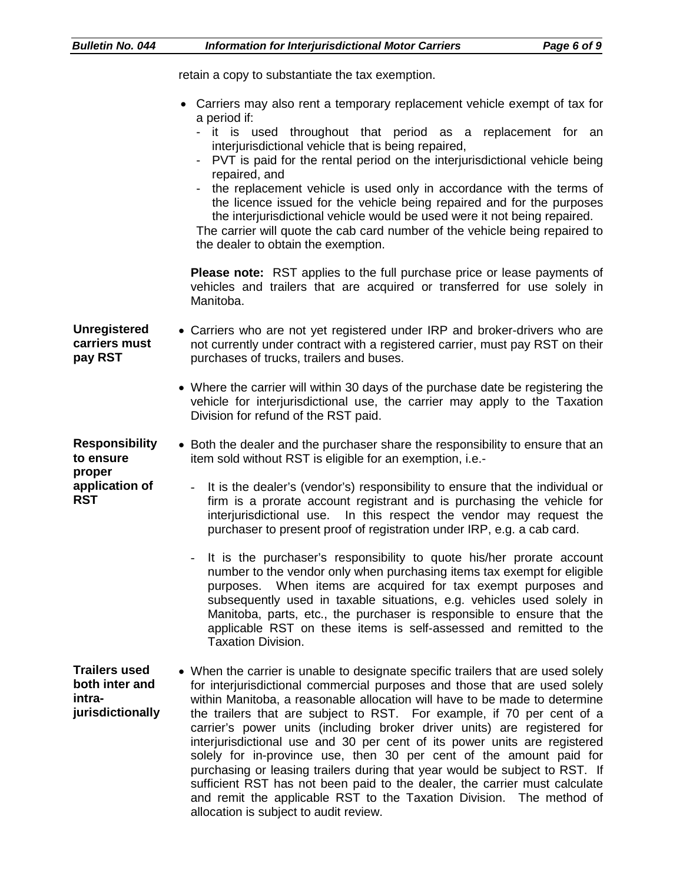| <b>Bulletin No. 044</b>                                                                                                                                                           | <b>Information for Interjurisdictional Motor Carriers</b><br>Page 6 of 9                                                                                                                                                                                                                                                                                                                                                                                                                                                                                                                                                                                                                                                                                                                                                              |
|-----------------------------------------------------------------------------------------------------------------------------------------------------------------------------------|---------------------------------------------------------------------------------------------------------------------------------------------------------------------------------------------------------------------------------------------------------------------------------------------------------------------------------------------------------------------------------------------------------------------------------------------------------------------------------------------------------------------------------------------------------------------------------------------------------------------------------------------------------------------------------------------------------------------------------------------------------------------------------------------------------------------------------------|
|                                                                                                                                                                                   | retain a copy to substantiate the tax exemption.                                                                                                                                                                                                                                                                                                                                                                                                                                                                                                                                                                                                                                                                                                                                                                                      |
|                                                                                                                                                                                   | Carriers may also rent a temporary replacement vehicle exempt of tax for<br>a period if:<br>- it is used throughout that period as a replacement for an<br>interjurisdictional vehicle that is being repaired,<br>PVT is paid for the rental period on the interjurisdictional vehicle being<br>repaired, and<br>the replacement vehicle is used only in accordance with the terms of<br>the licence issued for the vehicle being repaired and for the purposes<br>the interjurisdictional vehicle would be used were it not being repaired.<br>The carrier will quote the cab card number of the vehicle being repaired to<br>the dealer to obtain the exemption.                                                                                                                                                                    |
|                                                                                                                                                                                   | Please note: RST applies to the full purchase price or lease payments of<br>vehicles and trailers that are acquired or transferred for use solely in<br>Manitoba.                                                                                                                                                                                                                                                                                                                                                                                                                                                                                                                                                                                                                                                                     |
| <b>Unregistered</b><br>carriers must<br>pay RST                                                                                                                                   | • Carriers who are not yet registered under IRP and broker-drivers who are<br>not currently under contract with a registered carrier, must pay RST on their<br>purchases of trucks, trailers and buses.                                                                                                                                                                                                                                                                                                                                                                                                                                                                                                                                                                                                                               |
|                                                                                                                                                                                   | • Where the carrier will within 30 days of the purchase date be registering the<br>vehicle for interjurisdictional use, the carrier may apply to the Taxation<br>Division for refund of the RST paid.                                                                                                                                                                                                                                                                                                                                                                                                                                                                                                                                                                                                                                 |
| <b>Responsibility</b><br>• Both the dealer and the purchaser share the responsibility to ensure that an<br>to ensure<br>item sold without RST is eligible for an exemption, i.e.- |                                                                                                                                                                                                                                                                                                                                                                                                                                                                                                                                                                                                                                                                                                                                                                                                                                       |
| proper<br>application of<br><b>RST</b>                                                                                                                                            | It is the dealer's (vendor's) responsibility to ensure that the individual or<br>$\overline{\phantom{a}}$<br>firm is a prorate account registrant and is purchasing the vehicle for<br>interjurisdictional use. In this respect the vendor may request the<br>purchaser to present proof of registration under IRP, e.g. a cab card.                                                                                                                                                                                                                                                                                                                                                                                                                                                                                                  |
|                                                                                                                                                                                   | It is the purchaser's responsibility to quote his/her prorate account<br>number to the vendor only when purchasing items tax exempt for eligible<br>When items are acquired for tax exempt purposes and<br>purposes.<br>subsequently used in taxable situations, e.g. vehicles used solely in<br>Manitoba, parts, etc., the purchaser is responsible to ensure that the<br>applicable RST on these items is self-assessed and remitted to the<br><b>Taxation Division.</b>                                                                                                                                                                                                                                                                                                                                                            |
| <b>Trailers used</b><br>both inter and<br>intra-<br>jurisdictionally                                                                                                              | • When the carrier is unable to designate specific trailers that are used solely<br>for interjurisdictional commercial purposes and those that are used solely<br>within Manitoba, a reasonable allocation will have to be made to determine<br>the trailers that are subject to RST. For example, if 70 per cent of a<br>carrier's power units (including broker driver units) are registered for<br>interjurisdictional use and 30 per cent of its power units are registered<br>solely for in-province use, then 30 per cent of the amount paid for<br>purchasing or leasing trailers during that year would be subject to RST. If<br>sufficient RST has not been paid to the dealer, the carrier must calculate<br>and remit the applicable RST to the Taxation Division. The method of<br>allocation is subject to audit review. |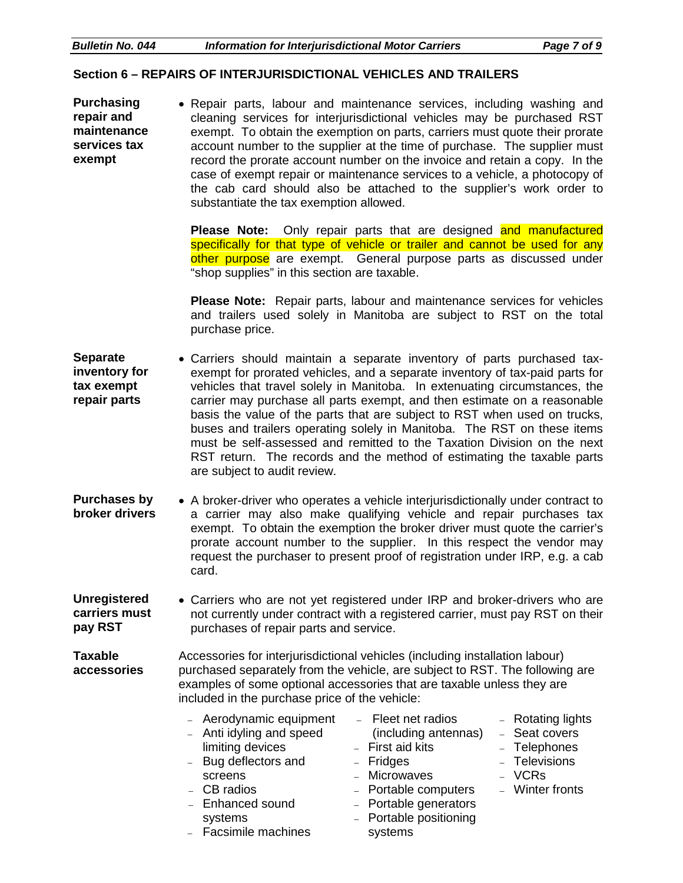#### **Section 6 – REPAIRS OF INTERJURISDICTIONAL VEHICLES AND TRAILERS**

**Purchasing repair and maintenance services tax exempt** • Repair parts, labour and maintenance services, including washing and cleaning services for interjurisdictional vehicles may be purchased RST exempt. To obtain the exemption on parts, carriers must quote their prorate account number to the supplier at the time of purchase. The supplier must record the prorate account number on the invoice and retain a copy. In the case of exempt repair or maintenance services to a vehicle, a photocopy of the cab card should also be attached to the supplier's work order to substantiate the tax exemption allowed.

> **Please Note:** Only repair parts that are designed and manufactured specifically for that type of vehicle or trailer and cannot be used for any other purpose are exempt. General purpose parts as discussed under "shop supplies" in this section are taxable.

> **Please Note:** Repair parts, labour and maintenance services for vehicles and trailers used solely in Manitoba are subject to RST on the total purchase price.

**Separate inventory for tax exempt repair parts** • Carriers should maintain a separate inventory of parts purchased taxexempt for prorated vehicles, and a separate inventory of tax-paid parts for vehicles that travel solely in Manitoba. In extenuating circumstances, the carrier may purchase all parts exempt, and then estimate on a reasonable basis the value of the parts that are subject to RST when used on trucks, buses and trailers operating solely in Manitoba. The RST on these items must be self-assessed and remitted to the Taxation Division on the next RST return. The records and the method of estimating the taxable parts are subject to audit review.

**Purchases by broker drivers** • A broker-driver who operates a vehicle interjurisdictionally under contract to a carrier may also make qualifying vehicle and repair purchases tax exempt. To obtain the exemption the broker driver must quote the carrier's prorate account number to the supplier. In this respect the vendor may request the purchaser to present proof of registration under IRP, e.g. a cab card.

**Unregistered carriers must pay RST** • Carriers who are not yet registered under IRP and broker-drivers who are not currently under contract with a registered carrier, must pay RST on their purchases of repair parts and service.

**Taxable accessories** Accessories for interjurisdictional vehicles (including installation labour) purchased separately from the vehicle, are subject to RST. The following are examples of some optional accessories that are taxable unless they are included in the purchase price of the vehicle:

- Aerodynamic equipment
- Anti idyling and speed limiting devices
- Bug deflectors and screens
- CB radios
- Enhanced sound systems
- Facsimile machines
- Fleet net radios (including antennas)
- First aid kits
- Fridges
- Microwaves
- Portable computers
- Portable generators
- Portable positioning systems
- Rotating lights – Seat covers
- Telephones
- Televisions
- VCRs
	-
- Winter fronts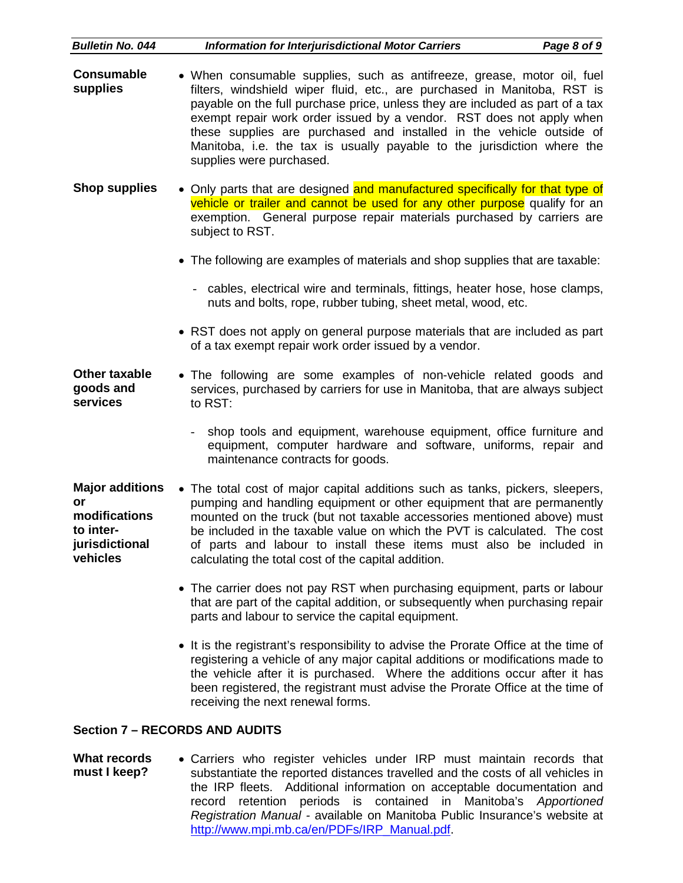| <b>Bulletin No. 044</b>                                                                  | <b>Information for Interjurisdictional Motor Carriers</b><br>Page 8 of 9                                                                                                                                                                                                                                                                                                                                                                                                                    |
|------------------------------------------------------------------------------------------|---------------------------------------------------------------------------------------------------------------------------------------------------------------------------------------------------------------------------------------------------------------------------------------------------------------------------------------------------------------------------------------------------------------------------------------------------------------------------------------------|
| <b>Consumable</b><br>supplies                                                            | • When consumable supplies, such as antifreeze, grease, motor oil, fuel<br>filters, windshield wiper fluid, etc., are purchased in Manitoba, RST is<br>payable on the full purchase price, unless they are included as part of a tax<br>exempt repair work order issued by a vendor. RST does not apply when<br>these supplies are purchased and installed in the vehicle outside of<br>Manitoba, i.e. the tax is usually payable to the jurisdiction where the<br>supplies were purchased. |
| <b>Shop supplies</b>                                                                     | • Only parts that are designed and manufactured specifically for that type of<br>vehicle or trailer and cannot be used for any other purpose qualify for an<br>exemption. General purpose repair materials purchased by carriers are<br>subject to RST.                                                                                                                                                                                                                                     |
|                                                                                          | • The following are examples of materials and shop supplies that are taxable:                                                                                                                                                                                                                                                                                                                                                                                                               |
|                                                                                          | - cables, electrical wire and terminals, fittings, heater hose, hose clamps,<br>nuts and bolts, rope, rubber tubing, sheet metal, wood, etc.                                                                                                                                                                                                                                                                                                                                                |
|                                                                                          | • RST does not apply on general purpose materials that are included as part<br>of a tax exempt repair work order issued by a vendor.                                                                                                                                                                                                                                                                                                                                                        |
| Other taxable<br>goods and<br>services                                                   | • The following are some examples of non-vehicle related goods and<br>services, purchased by carriers for use in Manitoba, that are always subject<br>to RST:                                                                                                                                                                                                                                                                                                                               |
|                                                                                          | shop tools and equipment, warehouse equipment, office furniture and<br>equipment, computer hardware and software, uniforms, repair and<br>maintenance contracts for goods.                                                                                                                                                                                                                                                                                                                  |
| <b>Major additions</b><br>or<br>modifications<br>to inter-<br>jurisdictional<br>vehicles | • The total cost of major capital additions such as tanks, pickers, sleepers,<br>pumping and handling equipment or other equipment that are permanently<br>mounted on the truck (but not taxable accessories mentioned above) must<br>be included in the taxable value on which the PVT is calculated. The cost<br>of parts and labour to install these items must also be included in<br>calculating the total cost of the capital addition.                                               |
|                                                                                          | • The carrier does not pay RST when purchasing equipment, parts or labour<br>that are part of the capital addition, or subsequently when purchasing repair<br>parts and labour to service the capital equipment.                                                                                                                                                                                                                                                                            |
|                                                                                          | • It is the registrant's responsibility to advise the Prorate Office at the time of<br>registering a vehicle of any major capital additions or modifications made to<br>the vehicle after it is purchased. Where the additions occur after it has<br>been registered, the registrant must advise the Prorate Office at the time of<br>receiving the next renewal forms.                                                                                                                     |

#### **Section 7 – RECORDS AND AUDITS**

**What records must I keep?** • Carriers who register vehicles under IRP must maintain records that substantiate the reported distances travelled and the costs of all vehicles in the IRP fleets. Additional information on acceptable documentation and record retention periods is contained in Manitoba's *Apportioned Registration Manual -* available on Manitoba Public Insurance's website at [http://www.mpi.mb.ca/en/PDFs/IRP\\_Manual.pdf.](http://www.mpi.mb.ca/en/PDFs/IRP_Manual.pdf)